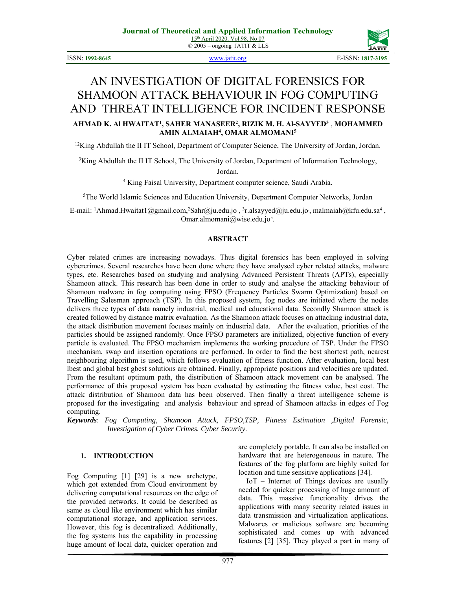© 2005 – ongoing JATIT & LLS

ISSN: **1992-8645** www.jatit.org E-ISSN: **1817-3195**



# AN INVESTIGATION OF DIGITAL FORENSICS FOR SHAMOON ATTACK BEHAVIOUR IN FOG COMPUTING AND THREAT INTELLIGENCE FOR INCIDENT RESPONSE **AHMAD K. Al HWAITAT1 , SAHER MANASEER2 , RIZIK M. H. Al-SAYYED3** , **MOHAMMED AMIN ALMAIAH4 , OMAR ALMOMANI5**

 $12$ King Abdullah the II IT School, Department of Computer Science, The University of Jordan, Jordan.

<sup>3</sup>King Abdullah the II IT School, The University of Jordan, Department of Information Technology,

Jordan.

4 King Faisal University, Department computer science, Saudi Arabia.

5 The World Islamic Sciences and Education University, Department Computer Networks, Jordan

E-mail: <sup>1</sup>Ahmad.Hwaitat1@gmail.com,<sup>2</sup>Sahr@ju.edu.jo, <sup>3</sup>r.alsayyed@ju.edu.jo, malmaiah@kfu.edu.sa<sup>4</sup>, Omar.almomani@wise.edu.jo<sup>5</sup>.

#### **ABSTRACT**

Cyber related crimes are increasing nowadays. Thus digital forensics has been employed in solving cybercrimes. Several researches have been done where they have analysed cyber related attacks, malware types, etc. Researches based on studying and analysing Advanced Persistent Threats (APTs), especially Shamoon attack. This research has been done in order to study and analyse the attacking behaviour of Shamoon malware in fog computing using FPSO (Frequency Particles Swarm Optimization) based on Travelling Salesman approach (TSP). In this proposed system, fog nodes are initiated where the nodes delivers three types of data namely industrial, medical and educational data. Secondly Shamoon attack is created followed by distance matrix evaluation. As the Shamoon attack focuses on attacking industrial data, the attack distribution movement focuses mainly on industrial data. After the evaluation, priorities of the particles should be assigned randomly. Once FPSO parameters are initialized, objective function of every particle is evaluated. The FPSO mechanism implements the working procedure of TSP. Under the FPSO mechanism, swap and insertion operations are performed. In order to find the best shortest path, nearest neighbouring algorithm is used, which follows evaluation of fitness function. After evaluation, local best lbest and global best gbest solutions are obtained. Finally, appropriate positions and velocities are updated. From the resultant optimum path, the distribution of Shamoon attack movement can be analysed. The performance of this proposed system has been evaluated by estimating the fitness value, best cost. The attack distribution of Shamoon data has been observed. Then finally a threat intelligence scheme is proposed for the investigating and analysis behaviour and spread of Shamoon attacks in edges of Fog computing.

*Keywords*: *Fog Computing, Shamoon Attack, FPSO,TSP, Fitness Estimation ,Digital Forensic, Investigation of Cyber Crimes. Cyber Security*.

## **1. INTRODUCTION**

Fog Computing [1] [29] is a new archetype, which got extended from Cloud environment by delivering computational resources on the edge of the provided networks. It could be described as same as cloud like environment which has similar computational storage, and application services. However, this fog is decentralized. Additionally, the fog systems has the capability in processing huge amount of local data, quicker operation and are completely portable. It can also be installed on hardware that are heterogeneous in nature. The features of the fog platform are highly suited for location and time sensitive applications [34].

IoT – Internet of Things devices are usually needed for quicker processing of huge amount of data. This massive functionality drives the applications with many security related issues in data transmission and virtualization applications. Malwares or malicious software are becoming sophisticated and comes up with advanced features [2] [35]. They played a part in many of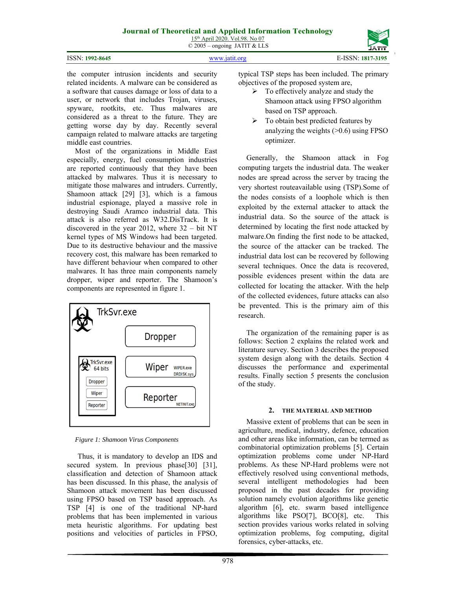|  | ISSN: 1992-8645 |
|--|-----------------|
|--|-----------------|

ISSN: **1992-8645** www.jatit.org E-ISSN: **1817-3195**



the computer intrusion incidents and security related incidents. A malware can be considered as a software that causes damage or loss of data to a user, or network that includes Trojan, viruses, spyware, rootkits, etc. Thus malwares are considered as a threat to the future. They are getting worse day by day. Recently several campaign related to malware attacks are targeting middle east countries.

Most of the organizations in Middle East especially, energy, fuel consumption industries are reported continuously that they have been attacked by malwares. Thus it is necessary to mitigate those malwares and intruders. Currently, Shamoon attack [29] [3], which is a famous industrial espionage, played a massive role in destroying Saudi Aramco industrial data. This attack is also referred as W32.DisTrack. It is discovered in the year 2012, where 32 – bit NT kernel types of MS Windows had been targeted. Due to its destructive behaviour and the massive recovery cost, this malware has been remarked to have different behaviour when compared to other malwares. It has three main components namely dropper, wiper and reporter. The Shamoon's components are represented in figure 1.



*Figure 1: Shamoon Virus Components* 

Thus, it is mandatory to develop an IDS and secured system. In previous phase[30] [31], classification and detection of Shamoon attack has been discussed. In this phase, the analysis of Shamoon attack movement has been discussed using FPSO based on TSP based approach. As TSP [4] is one of the traditional NP-hard problems that has been implemented in various meta heuristic algorithms. For updating best positions and velocities of particles in FPSO,

typical TSP steps has been included. The primary objectives of the proposed system are,

- $\triangleright$  To effectively analyze and study the Shamoon attack using FPSO algorithm based on TSP approach.
- $\triangleright$  To obtain best predicted features by analyzing the weights  $(>0.6)$  using FPSO optimizer.

Generally, the Shamoon attack in Fog computing targets the industrial data. The weaker nodes are spread across the server by tracing the very shortest routeavailable using (TSP).Some of the nodes consists of a loophole which is then exploited by the external attacker to attack the industrial data. So the source of the attack is determined by locating the first node attacked by malware.On finding the first node to be attacked, the source of the attacker can be tracked. The industrial data lost can be recovered by following several techniques. Once the data is recovered, possible evidences present within the data are collected for locating the attacker. With the help of the collected evidences, future attacks can also be prevented. This is the primary aim of this research.

The organization of the remaining paper is as follows: Section 2 explains the related work and literature survey. Section 3 describes the proposed system design along with the details. Section 4 discusses the performance and experimental results. Finally section 5 presents the conclusion of the study.

### **2. THE MATERIAL AND METHOD**

Massive extent of problems that can be seen in agriculture, medical, industry, defence, education and other areas like information, can be termed as combinatorial optimization problems [5]. Certain optimization problems come under NP-Hard problems. As these NP-Hard problems were not effectively resolved using conventional methods, several intelligent methodologies had been proposed in the past decades for providing solution namely evolution algorithms like genetic algorithm [6], etc. swarm based intelligence algorithms like PSO[7], BCO[8], etc. This section provides various works related in solving optimization problems, fog computing, digital forensics, cyber-attacks, etc.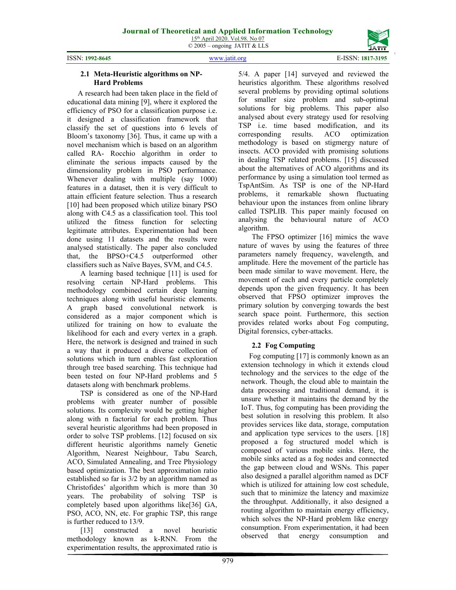ISSN: **1992-8645** www.jatit.org E-ISSN: **1817-3195**



#### **2.1 Meta-Heuristic algorithms on NP-Hard Problems**

A research had been taken place in the field of educational data mining [9], where it explored the efficiency of PSO for a classification purpose i.e. it designed a classification framework that classify the set of questions into 6 levels of Bloom's taxonomy [36]. Thus, it came up with a novel mechanism which is based on an algorithm called RA- Rocchio algorithm in order to eliminate the serious impacts caused by the dimensionality problem in PSO performance. Whenever dealing with multiple (say 1000) features in a dataset, then it is very difficult to attain efficient feature selection. Thus a research [10] had been proposed which utilize binary PSO along with C4.5 as a classification tool. This tool utilized the fitness function for selecting legitimate attributes. Experimentation had been done using 11 datasets and the results were analysed statistically. The paper also concluded that, the BPSO+C4.5 outperformed other classifiers such as Naïve Bayes, SVM, and C4.5.

A learning based technique [11] is used for resolving certain NP-Hard problems. This methodology combined certain deep learning techniques along with useful heuristic elements. A graph based convolutional network is considered as a major component which is utilized for training on how to evaluate the likelihood for each and every vertex in a graph. Here, the network is designed and trained in such a way that it produced a diverse collection of solutions which in turn enables fast exploration through tree based searching. This technique had been tested on four NP-Hard problems and 5 datasets along with benchmark problems.

TSP is considered as one of the NP-Hard problems with greater number of possible solutions. Its complexity would be getting higher along with n factorial for each problem. Thus several heuristic algorithms had been proposed in order to solve TSP problems. [12] focused on six different heuristic algorithms namely Genetic Algorithm, Nearest Neighbour, Tabu Search, ACO, Simulated Annealing, and Tree Physiology based optimization. The best approximation ratio established so far is 3/2 by an algorithm named as Christofides' algorithm which is more than 30 years. The probability of solving TSP is completely based upon algorithms like[36] GA, PSO, ACO, NN, etc. For graphic TSP, this range is further reduced to 13/9.

[13] constructed a novel heuristic methodology known as k-RNN. From the experimentation results, the approximated ratio is

5/4. A paper [14] surveyed and reviewed the heuristics algorithm. These algorithms resolved several problems by providing optimal solutions for smaller size problem and sub-optimal solutions for big problems. This paper also analysed about every strategy used for resolving TSP i.e. time based modification, and its corresponding results. ACO optimization methodology is based on stigmergy nature of insects. ACO provided with promising solutions in dealing TSP related problems. [15] discussed about the alternatives of ACO algorithms and its performance by using a simulation tool termed as TspAntSim. As TSP is one of the NP-Hard problems, it remarkable shown fluctuating behaviour upon the instances from online library called TSPLIB. This paper mainly focused on analysing the behavioural nature of ACO algorithm.

The FPSO optimizer [16] mimics the wave nature of waves by using the features of three parameters namely frequency, wavelength, and amplitude. Here the movement of the particle has been made similar to wave movement. Here, the movement of each and every particle completely depends upon the given frequency. It has been observed that FPSO optimizer improves the primary solution by converging towards the best search space point. Furthermore, this section provides related works about Fog computing, Digital forensics, cyber-attacks.

## **2.2 Fog Computing**

Fog computing [17] is commonly known as an extension technology in which it extends cloud technology and the services to the edge of the network. Though, the cloud able to maintain the data processing and traditional demand, it is unsure whether it maintains the demand by the IoT. Thus, fog computing has been providing the best solution in resolving this problem. It also provides services like data, storage, computation and application type services to the users. [18] proposed a fog structured model which is composed of various mobile sinks. Here, the mobile sinks acted as a fog nodes and connected the gap between cloud and WSNs. This paper also designed a parallel algorithm named as DCF which is utilized for attaining low cost schedule, such that to minimize the latency and maximize the throughput. Additionally, it also designed a routing algorithm to maintain energy efficiency, which solves the NP-Hard problem like energy consumption. From experimentation, it had been observed that energy consumption and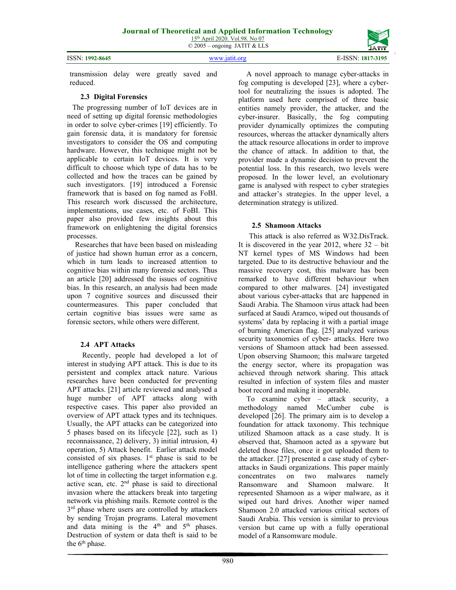ISSN: **1992-8645** www.jatit.org E-ISSN: **1817-3195**



transmission delay were greatly saved and reduced.

## **2.3 Digital Forensics**

The progressing number of IoT devices are in need of setting up digital forensic methodologies in order to solve cyber-crimes [19] efficiently. To gain forensic data, it is mandatory for forensic investigators to consider the OS and computing hardware. However, this technique might not be applicable to certain IoT devices. It is very difficult to choose which type of data has to be collected and how the traces can be gained by such investigators. [19] introduced a Forensic framework that is based on fog named as FoBI. This research work discussed the architecture, implementations, use cases, etc. of FoBI. This paper also provided few insights about this framework on enlightening the digital forensics processes.

Researches that have been based on misleading of justice had shown human error as a concern, which in turn leads to increased attention to cognitive bias within many forensic sectors. Thus an article [20] addressed the issues of cognitive bias. In this research, an analysis had been made upon 7 cognitive sources and discussed their countermeasures. This paper concluded that certain cognitive bias issues were same as forensic sectors, while others were different.

## **2.4 APT Attacks**

 Recently, people had developed a lot of interest in studying APT attack. This is due to its persistent and complex attack nature. Various researches have been conducted for preventing APT attacks. [21] article reviewed and analysed a huge number of APT attacks along with respective cases. This paper also provided an overview of APT attack types and its techniques. Usually, the APT attacks can be categorized into 5 phases based on its lifecycle [22], such as 1) reconnaissance, 2) delivery, 3) initial intrusion, 4) operation, 5) Attack benefit. Earlier attack model consisted of six phases.  $1<sup>st</sup>$  phase is said to be intelligence gathering where the attackers spent lot of time in collecting the target information e.g. active scan, etc.  $2<sup>nd</sup>$  phase is said to directional invasion where the attackers break into targeting network via phishing mails. Remote control is the  $3<sup>rd</sup>$  phase where users are controlled by attackers by sending Trojan programs. Lateral movement and data mining is the 4<sup>th</sup> and 5<sup>th</sup> phases. Destruction of system or data theft is said to be the  $6<sup>th</sup>$  phase.

A novel approach to manage cyber-attacks in fog computing is developed [23], where a cybertool for neutralizing the issues is adopted. The platform used here comprised of three basic entities namely provider, the attacker, and the cyber-insurer. Basically, the fog computing provider dynamically optimizes the computing resources, whereas the attacker dynamically alters the attack resource allocations in order to improve the chance of attack. In addition to that, the provider made a dynamic decision to prevent the potential loss. In this research, two levels were proposed. In the lower level, an evolutionary game is analysed with respect to cyber strategies and attacker's strategies. In the upper level, a determination strategy is utilized.

## **2.5 Shamoon Attacks**

This attack is also referred as W32.DisTrack. It is discovered in the year 2012, where  $32 - bit$ NT kernel types of MS Windows had been targeted. Due to its destructive behaviour and the massive recovery cost, this malware has been remarked to have different behaviour when compared to other malwares. [24] investigated about various cyber-attacks that are happened in Saudi Arabia. The Shamoon virus attack had been surfaced at Saudi Aramco, wiped out thousands of systems' data by replacing it with a partial image of burning American flag. [25] analyzed various security taxonomies of cyber- attacks. Here two versions of Shamoon attack had been assessed. Upon observing Shamoon; this malware targeted the energy sector, where its propagation was achieved through network sharing. This attack resulted in infection of system files and master boot record and making it inoperable.

To examine cyber – attack security, a methodology named McCumber cube is developed [26]. The primary aim is to develop a foundation for attack taxonomy. This technique utilized Shamoon attack as a case study. It is observed that, Shamoon acted as a spyware but deleted those files, once it got uploaded them to the attacker. [27] presented a case study of cyberattacks in Saudi organizations. This paper mainly concentrates on two malwares namely Ransomware and Shamoon malware. It represented Shamoon as a wiper malware, as it wiped out hard drives. Another wiper named Shamoon 2.0 attacked various critical sectors of Saudi Arabia. This version is similar to previous version but came up with a fully operational model of a Ransomware module.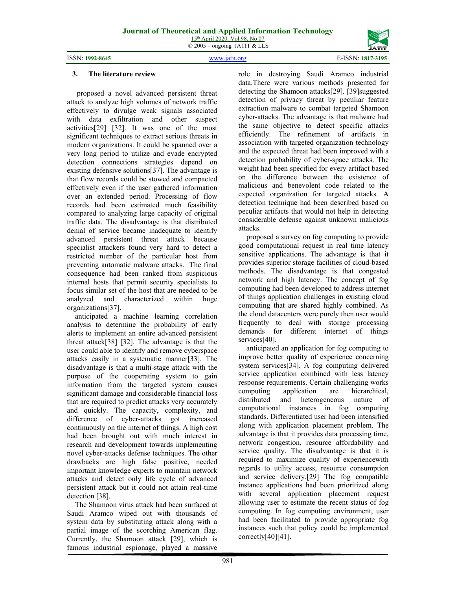ISSN: **1992-8645** www.jatit.org E-ISSN: **1817-3195**

#### **3. The literature review**

 proposed a novel advanced persistent threat attack to analyze high volumes of network traffic effectively to divulge weak signals associated with data exfiltration and other suspect activities[29] [32]. It was one of the most significant techniques to extract serious threats in modern organizations. It could be spanned over a very long period to utilize and evade encrypted detection connections strategies depend on existing defensive solutions[37]. The advantage is that flow records could be stowed and compacted effectively even if the user gathered information over an extended period. Processing of flow records had been estimated much feasibility compared to analyzing large capacity of original traffic data. The disadvantage is that distributed denial of service became inadequate to identify advanced persistent threat attack because specialist attackers found very hard to detect a restricted number of the particular host from preventing automatic malware attacks. The final consequence had been ranked from suspicious internal hosts that permit security specialists to focus similar set of the host that are needed to be analyzed and characterized within huge organizations[37].

anticipated a machine learning correlation analysis to determine the probability of early alerts to implement an entire advanced persistent threat attack[38] [32]. The advantage is that the user could able to identify and remove cyberspace attacks easily in a systematic manner[33]. The disadvantage is that a multi-stage attack with the purpose of the cooperating system to gain information from the targeted system causes significant damage and considerable financial loss that are required to predict attacks very accurately and quickly. The capacity, complexity, and difference of cyber-attacks got increased continuously on the internet of things. A high cost had been brought out with much interest in research and development towards implementing novel cyber-attacks defense techniques. The other drawbacks are high false positive, needed important knowledge experts to maintain network attacks and detect only life cycle of advanced persistent attack but it could not attain real-time detection [38].

The Shamoon virus attack had been surfaced at Saudi Aramco wiped out with thousands of system data by substituting attack along with a partial image of the scorching American flag. Currently, the Shamoon attack [29], which is famous industrial espionage, played a massive

role in destroying Saudi Aramco industrial data.There were various methods presented for detecting the Shamoon attacks[29]. [39]suggested detection of privacy threat by peculiar feature extraction malware to combat targeted Shamoon cyber-attacks. The advantage is that malware had the same objective to detect specific attacks efficiently. The refinement of artifacts in association with targeted organization technology and the expected threat had been improved with a detection probability of cyber-space attacks. The weight had been specified for every artifact based on the difference between the existence of malicious and benevolent code related to the expected organization for targeted attacks. A detection technique had been described based on peculiar artifacts that would not help in detecting considerable defense against unknown malicious attacks.

proposed a survey on fog computing to provide good computational request in real time latency sensitive applications. The advantage is that it provides superior storage facilities of cloud-based methods. The disadvantage is that congested network and high latency. The concept of fog computing had been developed to address internet of things application challenges in existing cloud computing that are shared highly combined. As the cloud datacenters were purely then user would frequently to deal with storage processing demands for different internet of things services<sup>[40]</sup>.

anticipated an application for fog computing to improve better quality of experience concerning system services[34]. A fog computing delivered service application combined with less latency response requirements. Certain challenging works computing application are hierarchical, distributed and heterogeneous nature of computational instances in fog computing standards. Differentiated user had been intensified along with application placement problem. The advantage is that it provides data processing time, network congestion, resource affordability and service quality. The disadvantage is that it is required to maximize quality of experiencewith regards to utility access, resource consumption and service delivery.[29] The fog compatible instance applications had been prioritized along with several application placement request allowing user to estimate the recent status of fog computing. In fog computing environment, user had been facilitated to provide appropriate fog instances such that policy could be implemented correctly[40][41].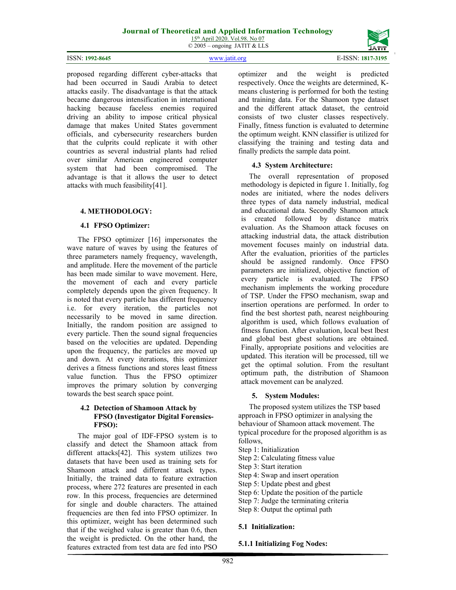

proposed regarding different cyber-attacks that had been occurred in Saudi Arabia to detect attacks easily. The disadvantage is that the attack became dangerous intensification in international hacking because faceless enemies required driving an ability to impose critical physical damage that makes United States government officials, and cybersecurity researchers burden that the culprits could replicate it with other countries as several industrial plants had relied over similar American engineered computer system that had been compromised. The advantage is that it allows the user to detect attacks with much feasibility[41].

## **4. METHODOLOGY:**

### **4.1 FPSO Optimizer:**

The FPSO optimizer [16] impersonates the wave nature of waves by using the features of three parameters namely frequency, wavelength, and amplitude. Here the movement of the particle has been made similar to wave movement. Here, the movement of each and every particle completely depends upon the given frequency. It is noted that every particle has different frequency i.e. for every iteration, the particles not necessarily to be moved in same direction. Initially, the random position are assigned to every particle. Then the sound signal frequencies based on the velocities are updated. Depending upon the frequency, the particles are moved up and down. At every iterations, this optimizer derives a fitness functions and stores least fitness value function. Thus the FPSO optimizer improves the primary solution by converging towards the best search space point.

### **4.2 Detection of Shamoon Attack by FPSO (Investigator Digital Forensics-FPSO):**

The major goal of IDF-FPSO system is to classify and detect the Shamoon attack from different attacks[42]. This system utilizes two datasets that have been used as training sets for Shamoon attack and different attack types. Initially, the trained data to feature extraction process, where 272 features are presented in each row. In this process, frequencies are determined for single and double characters. The attained frequencies are then fed into FPSO optimizer. In this optimizer, weight has been determined such that if the weighed value is greater than 0.6, then the weight is predicted. On the other hand, the features extracted from test data are fed into PSO

optimizer and the weight is predicted respectively. Once the weights are determined, Kmeans clustering is performed for both the testing and training data. For the Shamoon type dataset and the different attack dataset, the centroid consists of two cluster classes respectively. Finally, fitness function is evaluated to determine the optimum weight. KNN classifier is utilized for classifying the training and testing data and finally predicts the sample data point.

## **4.3 System Architecture:**

The overall representation of proposed methodology is depicted in figure 1. Initially, fog nodes are initiated, where the nodes delivers three types of data namely industrial, medical and educational data. Secondly Shamoon attack is created followed by distance matrix evaluation. As the Shamoon attack focuses on attacking industrial data, the attack distribution movement focuses mainly on industrial data. After the evaluation, priorities of the particles should be assigned randomly. Once FPSO parameters are initialized, objective function of every particle is evaluated. The FPSO mechanism implements the working procedure of TSP. Under the FPSO mechanism, swap and insertion operations are performed. In order to find the best shortest path, nearest neighbouring algorithm is used, which follows evaluation of fitness function. After evaluation, local best lbest and global best gbest solutions are obtained. Finally, appropriate positions and velocities are updated. This iteration will be processed, till we get the optimal solution. From the resultant optimum path, the distribution of Shamoon attack movement can be analyzed.

## **5. System Modules:**

The proposed system utilizes the TSP based approach in FPSO optimizer in analysing the behaviour of Shamoon attack movement. The typical procedure for the proposed algorithm is as follows,

- Step 1: Initialization
- Step 2: Calculating fitness value
- Step 3: Start iteration
- Step 4: Swap and insert operation
- Step 5: Update pbest and gbest
- Step 6: Update the position of the particle
- Step 7: Judge the terminating criteria
- Step 8: Output the optimal path

## **5.1 Initialization:**

**5.1.1 Initializing Fog Nodes:**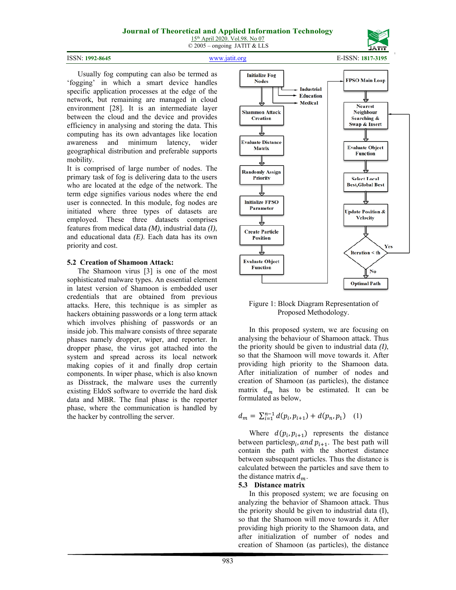ISSN: **1992-8645** www.jatit.org E-ISSN: **1817-3195**



 Usually fog computing can also be termed as 'fogging' in which a smart device handles specific application processes at the edge of the network, but remaining are managed in cloud environment [28]. It is an intermediate layer between the cloud and the device and provides efficiency in analysing and storing the data. This computing has its own advantages like location awareness and minimum latency, wider geographical distribution and preferable supports mobility.

It is comprised of large number of nodes. The primary task of fog is delivering data to the users who are located at the edge of the network. The term edge signifies various nodes where the end user is connected. In this module, fog nodes are initiated where three types of datasets are employed. These three datasets comprises features from medical data *(M)*, industrial data *(I)*, and educational data *(E)*. Each data has its own priority and cost.

#### **5.2 Creation of Shamoon Attack:**

The Shamoon virus [3] is one of the most sophisticated malware types. An essential element in latest version of Shamoon is embedded user credentials that are obtained from previous attacks. Here, this technique is as simpler as hackers obtaining passwords or a long term attack which involves phishing of passwords or an inside job. This malware consists of three separate phases namely dropper, wiper, and reporter. In dropper phase, the virus got attached into the system and spread across its local network making copies of it and finally drop certain components. In wiper phase, which is also known as Disstrack, the malware uses the currently existing EldoS software to override the hard disk data and MBR. The final phase is the reporter phase, where the communication is handled by the hacker by controlling the server.



#### Figure 1: Block Diagram Representation of Proposed Methodology.

In this proposed system, we are focusing on analysing the behaviour of Shamoon attack. Thus the priority should be given to industrial data *(I)*, so that the Shamoon will move towards it. After providing high priority to the Shamoon data. After initialization of number of nodes and creation of Shamoon (as particles), the distance matrix  $d_m$  has to be estimated. It can be formulated as below,

$$
d_m = \sum_{i=1}^{n-1} d(p_i, p_{i+1}) + d(p_n, p_1) \quad (1)
$$

Where  $d(p_i, p_{i+1})$  represents the distance between particles $p_i$ , and  $p_{i+1}$ . The best path will contain the path with the shortest distance between subsequent particles. Thus the distance is calculated between the particles and save them to the distance matrix  $d_m$ .

#### **5.3 Distance matrix**

In this proposed system; we are focusing on analyzing the behavior of Shamoon attack. Thus the priority should be given to industrial data (I), so that the Shamoon will move towards it. After providing high priority to the Shamoon data, and after initialization of number of nodes and creation of Shamoon (as particles), the distance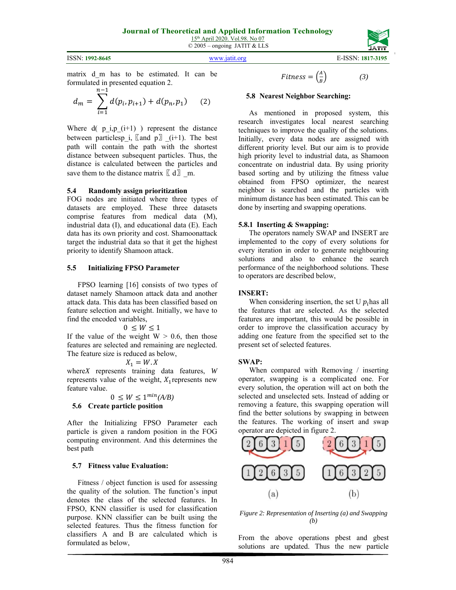ISSN: **1992-8645** www.jatit.org E-ISSN: **1817-3195**

matrix d\_m has to be estimated. It can be formulated in presented equation 2.

$$
d_m = \sum_{i=1}^{n-1} d(p_i, p_{i+1}) + d(p_n, p_1) \qquad (2)
$$

Where  $d(p_i, p_i(i+1))$  represent the distance between particlesp\_i,  $\llbracket$  and p $\rrbracket$  \_(i+1). The best path will contain the path with the shortest distance between subsequent particles. Thus, the distance is calculated between the particles and save them to the distance matrix  $\lbrack d \rbrack$  m.

#### **5.4 Randomly assign prioritization**

FOG nodes are initiated where three types of datasets are employed. These three datasets comprise features from medical data (M), industrial data (I), and educational data (E). Each data has its own priority and cost. Shamoonattack target the industrial data so that it get the highest priority to identify Shamoon attack.

#### **5.5 Initializing FPSO Parameter**

FPSO learning [16] consists of two types of dataset namely Shamoon attack data and another attack data. This data has been classified based on feature selection and weight. Initially, we have to find the encoded variables,

 $0 \leq W \leq 1$ 

If the value of the weight  $W > 0.6$ , then those features are selected and remaining are neglected. The feature size is reduced as below,

 $X_1 = W \cdot X$ 

where*X* represents training data features, *W* represents value of the weight,  $X_1$  represents new feature value.

 $0 \leq W \leq 1^{min}(A/B)$ 

**5.6 Create particle position** 

After the Initializing FPSO Parameter each particle is given a random position in the FOG computing environment. And this determines the best path

#### **5.7 Fitness value Evaluation:**

 Fitness / object function is used for assessing the quality of the solution. The function's input denotes the class of the selected features. In FPSO, KNN classifier is used for classification purpose. KNN classifier can be built using the selected features. Thus the fitness function for classifiers A and B are calculated which is formulated as below,

$$
Fitness = \left(\frac{A}{B}\right) \tag{3}
$$

#### **5.8 Nearest Neighbor Searching:**

As mentioned in proposed system, this research investigates local nearest searching techniques to improve the quality of the solutions. Initially, every data nodes are assigned with different priority level. But our aim is to provide high priority level to industrial data, as Shamoon concentrate on industrial data. By using priority based sorting and by utilizing the fitness value obtained from FPSO optimizer, the nearest neighbor is searched and the particles with minimum distance has been estimated. This can be done by inserting and swapping operations.

#### **5.8.1 Inserting & Swapping:**

The operators namely SWAP and INSERT are implemented to the copy of every solutions for every iteration in order to generate neighbouring solutions and also to enhance the search performance of the neighborhood solutions. These to operators are described below,

#### **INSERT:**

When considering insertion, the set U  $p_i$  has all the features that are selected. As the selected features are important, this would be possible in order to improve the classification accuracy by adding one feature from the specified set to the present set of selected features.

#### **SWAP:**

 When compared with Removing / inserting operator, swapping is a complicated one. For every solution, the operation will act on both the selected and unselected sets. Instead of adding or removing a feature, this swapping operation will find the better solutions by swapping in between the features. The working of insert and swap operator are depicted in figure 2.



*Figure 2: Representation of Inserting (a) and Swapping (b)* 

From the above operations pbest and gbest solutions are updated. Thus the new particle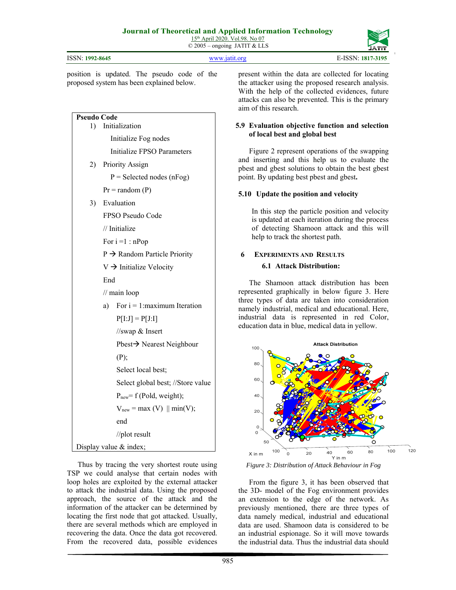| ISSN: 1992-8645                                                                                                                                                                                                                                                                                                                                                                                                                                                                           | E-ISSN: 1817-3195<br>www.jatit.org                                                                                                                                                                                                                                                                                                                                                                                                                                                                                                                                                                                                                                                                                                                                                                                                                                                                                                              |  |
|-------------------------------------------------------------------------------------------------------------------------------------------------------------------------------------------------------------------------------------------------------------------------------------------------------------------------------------------------------------------------------------------------------------------------------------------------------------------------------------------|-------------------------------------------------------------------------------------------------------------------------------------------------------------------------------------------------------------------------------------------------------------------------------------------------------------------------------------------------------------------------------------------------------------------------------------------------------------------------------------------------------------------------------------------------------------------------------------------------------------------------------------------------------------------------------------------------------------------------------------------------------------------------------------------------------------------------------------------------------------------------------------------------------------------------------------------------|--|
| position is updated. The pseudo code of the<br>proposed system has been explained below.                                                                                                                                                                                                                                                                                                                                                                                                  | present within the data are collected for locating<br>the attacker using the proposed research analysis.<br>With the help of the collected evidences, future<br>attacks can also be prevented. This is the primary<br>aim of this research.                                                                                                                                                                                                                                                                                                                                                                                                                                                                                                                                                                                                                                                                                                     |  |
| <b>Pseudo Code</b><br>Initialization<br>1)<br>Initialize Fog nodes<br>Initialize FPSO Parameters<br><b>Priority Assign</b><br>2)<br>$P =$ Selected nodes (nFog)<br>$Pr = random(P)$<br>Evaluation<br>3)<br>FPSO Pseudo Code<br>// Initialize<br>For $i = 1 : nPop$<br>$P \rightarrow$ Random Particle Priority<br>$V \rightarrow$ Initialize Velocity<br>End<br>// main loop<br>For $i = 1$ : maximum Iteration<br>a)<br>$P[I:J] = P[J:I]$<br>//swap & Insert<br>Pbest→ Nearest Neighbour | 5.9 Evaluation objective function and selection<br>of local best and global best<br>Figure 2 represent operations of the swapping<br>and inserting and this help us to evaluate the<br>pbest and gbest solutions to obtain the best gbest<br>point. By updating best pbest and gbest.<br>5.10 Update the position and velocity<br>In this step the particle position and velocity<br>is updated at each iteration during the process<br>of detecting Shamoon attack and this will<br>help to track the shortest path.<br>6<br><b>EXPERIMENTS AND RESULTS</b><br><b>6.1 Attack Distribution:</b><br>The Shamoon attack distribution has been<br>represented graphically in below figure 3. Here<br>three types of data are taken into consideration<br>namely industrial, medical and educational. Here,<br>industrial data is represented in red Color,<br>education data in blue, medical data in yellow.<br><b>Attack Distribution</b><br>100 |  |
| (P);<br>Select local best;<br>Select global best; //Store value<br>$P_{new}$ = f (Pold, weight);<br>$V_{new}$ = max (V) $\parallel$ min(V);<br>end<br>//plot result<br>Display value $&index;$<br>Thus by tracing the very shortest route using<br>TSP we could analyse that certain nodes with<br>loop holes are exploited by the external attacker<br>to attack the industrial data. Using the proposed                                                                                 | 80<br>60<br>40<br>20<br>0<br>O<br>50<br>100<br>100<br>80<br>60<br>20<br>40<br>X in m<br>Y in m<br>Figure 3: Distribution of Attack Behaviour in Fog<br>From the figure 3, it has been observed that<br>the 3D- model of the Fog environment provides                                                                                                                                                                                                                                                                                                                                                                                                                                                                                                                                                                                                                                                                                            |  |

an extension to the edge of the network. As previously mentioned, there are three types of data namely medical, industrial and educational data are used. Shamoon data is considered to be an industrial espionage. So it will move towards the industrial data. Thus the industrial data should

 $120$ 

information of the attacker can be determined by locating the first node that got attacked. Usually, there are several methods which are employed in recovering the data. Once the data got recovered. From the recovered data, possible evidences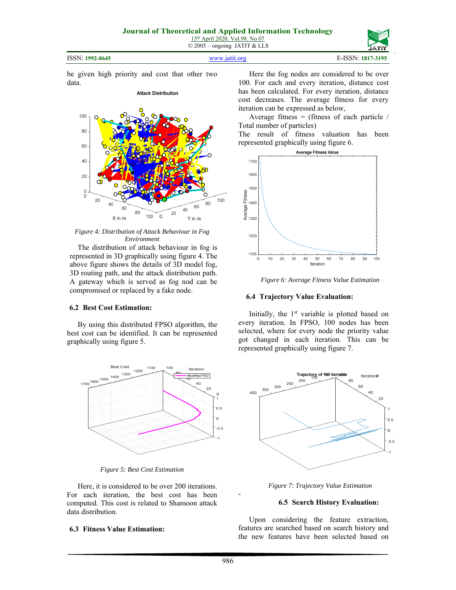#### ISSN: **1992-8645** www.jatit.org E-ISSN: **1817-3195**

be given high priority and cost that other two data.



**Attack Distribution** 

*Figure 4: Distribution of Attack Behaviour in Fog Environment* 

The distribution of attack behaviour in fog is represented in 3D graphically using figure 4. The above figure shows the details of 3D model fog, 3D routing path, and the attack distribution path. A gateway which is served as fog nod can be compromised or replaced by a fake node.

### **6.2 Best Cost Estimation:**

By using this distributed FPSO algorithm, the best cost can be identified. It can be represented graphically using figure 5.



*Figure 5: Best Cost Estimation* 

Here, it is considered to be over 200 iterations. For each iteration, the best cost has been computed. This cost is related to Shamoon attack data distribution.

### **6.3 Fitness Value Estimation:**

Here the fog nodes are considered to be over 100. For each and every iteration, distance cost has been calculated. For every iteration, distance cost decreases. The average fitness for every iteration can be expressed as below,

Average fitness = (fitness of each particle  $/$ Total number of particles)

The result of fitness valuation has been represented graphically using figure 6.



*Figure 6: Average Fitness Value Estimation* 

### **6.4 Trajectory Value Evaluation:**

Initially, the 1<sup>st</sup> variable is plotted based on every iteration. In FPSO, 100 nodes has been selected, where for every node the priority value got changed in each iteration. This can be represented graphically using figure 7.



*Figure 7: Trajectory Value Estimation* 

### **6.5 Search History Evaluation:**

Upon considering the feature extraction, features are searched based on search history and the new features have been selected based on

-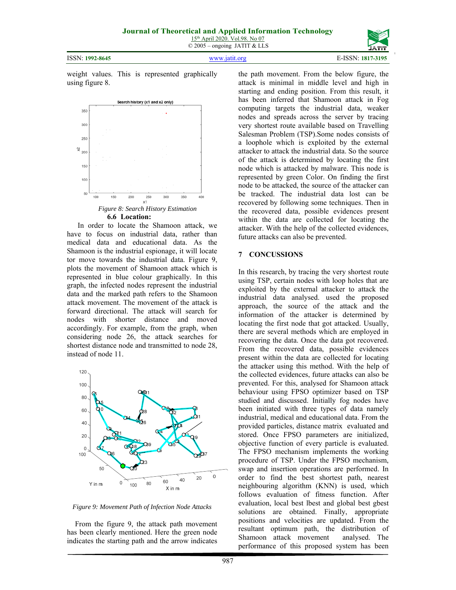ISSN: **1992-8645** www.jatit.org E-ISSN: **1817-3195**

weight values. This is represented graphically using figure 8.



In order to locate the Shamoon attack, we have to focus on industrial data, rather than medical data and educational data. As the Shamoon is the industrial espionage, it will locate tor move towards the industrial data. Figure 9, plots the movement of Shamoon attack which is represented in blue colour graphically. In this graph, the infected nodes represent the industrial data and the marked path refers to the Shamoon attack movement. The movement of the attack is forward directional. The attack will search for nodes with shorter distance and moved accordingly. For example, from the graph, when considering node 26, the attack searches for shortest distance node and transmitted to node 28, instead of node 11.



*Figure 9: Movement Path of Infection Node Attacks* 

From the figure 9, the attack path movement has been clearly mentioned. Here the green node indicates the starting path and the arrow indicates

the path movement. From the below figure, the attack is minimal in middle level and high in starting and ending position. From this result, it has been inferred that Shamoon attack in Fog computing targets the industrial data, weaker nodes and spreads across the server by tracing very shortest route available based on Travelling Salesman Problem (TSP).Some nodes consists of a loophole which is exploited by the external attacker to attack the industrial data. So the source of the attack is determined by locating the first node which is attacked by malware. This node is represented by green Color. On finding the first node to be attacked, the source of the attacker can be tracked. The industrial data lost can be recovered by following some techniques. Then in the recovered data, possible evidences present within the data are collected for locating the attacker. With the help of the collected evidences, future attacks can also be prevented.

#### **7 CONCUSSIONS**

In this research, by tracing the very shortest route using TSP, certain nodes with loop holes that are exploited by the external attacker to attack the industrial data analysed. used the proposed approach, the source of the attack and the information of the attacker is determined by locating the first node that got attacked. Usually, there are several methods which are employed in recovering the data. Once the data got recovered. From the recovered data, possible evidences present within the data are collected for locating the attacker using this method. With the help of the collected evidences, future attacks can also be prevented. For this, analysed for Shamoon attack behaviour using FPSO optimizer based on TSP studied and discussed. Initially fog nodes have been initiated with three types of data namely industrial, medical and educational data. From the provided particles, distance matrix evaluated and stored. Once FPSO parameters are initialized, objective function of every particle is evaluated. The FPSO mechanism implements the working procedure of TSP. Under the FPSO mechanism, swap and insertion operations are performed. In order to find the best shortest path, nearest neighbouring algorithm (KNN) is used, which follows evaluation of fitness function. After evaluation, local best lbest and global best gbest solutions are obtained. Finally, appropriate positions and velocities are updated. From the resultant optimum path, the distribution of Shamoon attack movement analysed. The performance of this proposed system has been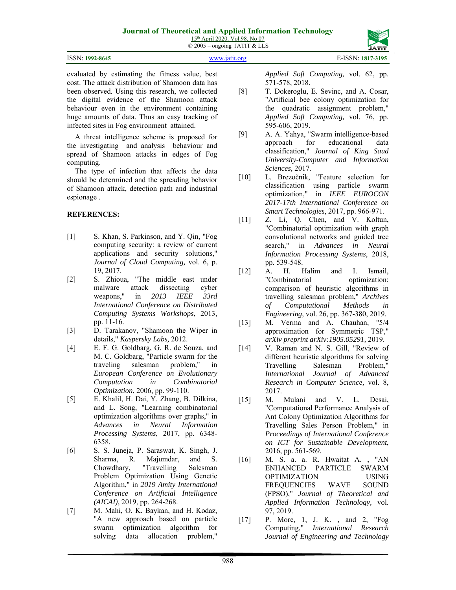## **Journal of Theoretical and Applied Information Technology**

15th April 2020. Vol.98. No 07  $\odot$  2005 – ongoing JATIT & LLS

|                 |               | --------          |
|-----------------|---------------|-------------------|
|                 |               |                   |
| ISSN: 1992-8645 | WWW.18111.0rg | E-ISSN: 1817-3195 |

evaluated by estimating the fitness value, best cost. The attack distribution of Shamoon data has been observed. Using this research, we collected the digital evidence of the Shamoon attack behaviour even in the environment containing huge amounts of data. Thus an easy tracking of infected sites in Fog environment attained.

A threat intelligence scheme is proposed for the investigating and analysis behaviour and spread of Shamoon attacks in edges of Fog computing.

The type of infection that affects the data should be determined and the spreading behavior of Shamoon attack, detection path and industrial espionage .

## **REFERENCES:**

- [1] S. Khan, S. Parkinson, and Y. Qin, "Fog computing security: a review of current applications and security solutions," *Journal of Cloud Computing,* vol. 6, p. 19, 2017.
- [2] S. Zhioua, "The middle east under malware attack dissecting cyber weapons," in *2013 IEEE 33rd International Conference on Distributed Computing Systems Workshops*, 2013, pp. 11-16.
- [3] D. Tarakanov, "Shamoon the Wiper in details," *Kaspersky Labs,* 2012.
- [4] E. F. G. Goldbarg, G. R. de Souza, and M. C. Goldbarg, "Particle swarm for the traveling salesman problem," in *European Conference on Evolutionary Computation in Combinatorial Optimization*, 2006, pp. 99-110.
- [5] E. Khalil, H. Dai, Y. Zhang, B. Dilkina, and L. Song, "Learning combinatorial optimization algorithms over graphs," in *Advances in Neural Information Processing Systems*, 2017, pp. 6348- 6358.
- [6] S. S. Juneja, P. Saraswat, K. Singh, J. Sharma, R. Majumdar, and S. Chowdhary, "Travelling Salesman Problem Optimization Using Genetic Algorithm," in *2019 Amity International Conference on Artificial Intelligence (AICAI)*, 2019, pp. 264-268.
- [7] M. Mahi, O. K. Baykan, and H. Kodaz, "A new approach based on particle swarm optimization algorithm for solving data allocation problem,"

*Applied Soft Computing,* vol. 62, pp. 571-578, 2018.

- [8] T. Dokeroglu, E. Sevinc, and A. Cosar, "Artificial bee colony optimization for the quadratic assignment problem," *Applied Soft Computing,* vol. 76, pp. 595-606, 2019.
- [9] A. A. Yahya, "Swarm intelligence-based approach for educational data classification," *Journal of King Saud University-Computer and Information Sciences,* 2017.
- [10] L. Brezočnik, "Feature selection for classification using particle swarm optimization," in *IEEE EUROCON 2017-17th International Conference on Smart Technologies*, 2017, pp. 966-971.
- [11] Z. Li, Q. Chen, and V. Koltun, "Combinatorial optimization with graph convolutional networks and guided tree search," in *Advances in Neural Information Processing Systems*, 2018, pp. 539-548.
- [12] A. H. Halim and I. Ismail, "Combinatorial optimization: comparison of heuristic algorithms in travelling salesman problem," *Archives of Computational Methods in Engineering,* vol. 26, pp. 367-380, 2019.
- [13] M. Verma and A. Chauhan, "5/4 approximation for Symmetric TSP," *arXiv preprint arXiv:1905.05291,* 2019.
- [14] V. Raman and N. S. Gill, "Review of different heuristic algorithms for solving Travelling Salesman Problem," *International Journal of Advanced Research in Computer Science,* vol. 8, 2017.
- [15] M. Mulani and V. L. Desai, "Computational Performance Analysis of Ant Colony Optimization Algorithms for Travelling Sales Person Problem," in *Proceedings of International Conference on ICT for Sustainable Development*, 2016, pp. 561-569.
- [16] M. S. a. a. R. Hwaitat A. , "AN ENHANCED PARTICLE SWARM OPTIMIZATION USING FREQUENCIES WAVE SOUND (FPSO)," *Journal of Theoretical and Applied Information Technology,* vol. 97, 2019.
- [17] P. More, 1, J. K. , and 2, "Fog Computing," *International Research Journal of Engineering and Technology*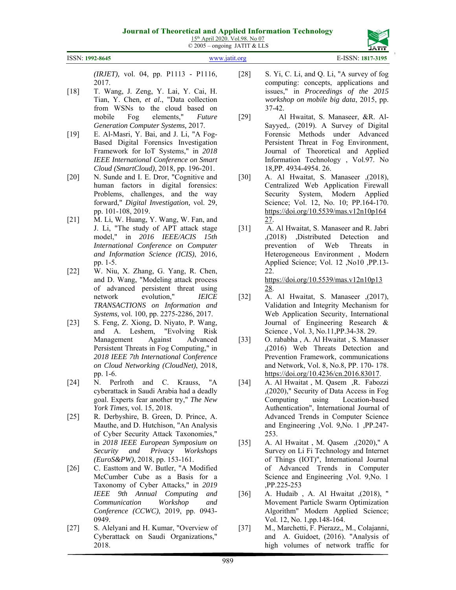

ISSN: **1992-8645** www.jatit.org E-ISSN: **1817-3195**

*(IRJET),* vol. 04, pp. P1113 - P1116, 2017.

- [18] T. Wang, J. Zeng, Y. Lai, Y. Cai, H. Tian, Y. Chen*, et al.*, "Data collection from WSNs to the cloud based on mobile Fog elements," *Future Generation Computer Systems,* 2017.
- [19] E. Al-Masri, Y. Bai, and J. Li, "A Fog-Based Digital Forensics Investigation Framework for IoT Systems," in *2018 IEEE International Conference on Smart Cloud (SmartCloud)*, 2018, pp. 196-201.
- [20] N. Sunde and I. E. Dror, "Cognitive and human factors in digital forensics: Problems, challenges, and the way forward," *Digital Investigation,* vol. 29, pp. 101-108, 2019.
- [21] M. Li, W. Huang, Y. Wang, W. Fan, and J. Li, "The study of APT attack stage model," in *2016 IEEE/ACIS 15th International Conference on Computer and Information Science (ICIS)*, 2016, pp. 1-5.
- [22] W. Niu, X. Zhang, G. Yang, R. Chen, and D. Wang, "Modeling attack process of advanced persistent threat using network evolution," *IEICE TRANSACTIONS on Information and Systems,* vol. 100, pp. 2275-2286, 2017.
- [23] S. Feng, Z. Xiong, D. Niyato, P. Wang, and A. Leshem, "Evolving Risk Management Against Advanced Persistent Threats in Fog Computing," in *2018 IEEE 7th International Conference on Cloud Networking (CloudNet)*, 2018, pp. 1-6.
- [24] N. Perlroth and C. Krauss, "A cyberattack in Saudi Arabia had a deadly goal. Experts fear another try," *The New York Times,* vol. 15, 2018.
- [25] R. Derbyshire, B. Green, D. Prince, A. Mauthe, and D. Hutchison, "An Analysis of Cyber Security Attack Taxonomies," in *2018 IEEE European Symposium on Security and Privacy Workshops (EuroS&PW)*, 2018, pp. 153-161.
- [26] C. Easttom and W. Butler, "A Modified McCumber Cube as a Basis for a Taxonomy of Cyber Attacks," in *2019 IEEE 9th Annual Computing and Communication Workshop and Conference (CCWC)*, 2019, pp. 0943- 0949.
- [27] S. Alelyani and H. Kumar, "Overview of Cyberattack on Saudi Organizations," 2018.
- [28] S. Yi, C. Li, and Q. Li, "A survey of fog computing: concepts, applications and issues," in *Proceedings of the 2015 workshop on mobile big data*, 2015, pp. 37-42.
- [29] Al Hwaitat, S. Manaseer, &R. Al-Sayyed,. (2019). A Survey of Digital Forensic Methods under Advanced Persistent Threat in Fog Environment, Journal of Theoretical and Applied Information Technology , Vol.97. No 18,PP. 4934-4954. 26.
- [30] A. Al Hwaitat, S. Manaseer ,(2018), Centralized Web Application Firewall Security System, Modern Applied Science; Vol. 12, No. 10; PP.164-170. https://doi.org/10.5539/mas.v12n10p164 27.
- [31] A. Al Hwaitat, S. Manaseer and R. Jabri ,(2018) ,Distributed Detection and prevention of Web Threats in Heterogeneous Environment , Modern Applied Science; Vol. 12 ,No10 ,PP.13- 22. https://doi.org/10.5539/mas.v12n10p13 28.
- [32] A. Al Hwaitat, S. Manaseer ,(2017), Validation and Integrity Mechanism for Web Application Security, International Journal of Engineering Research & Science , Vol. 3, No.11,PP.34-38. 29.
- [33] O. rababha , A. Al Hwaitat , S. Manasser ,(2016) Web Threats Detection and Prevention Framework, communications and Network, Vol. 8, No.8, PP. 170- 178. https://doi.org/10.4236/cn.2016.83017.
- [34] A. Al Hwaitat , M. Qasem ,R. Fabozzi ,(2020)," Security of Data Access in Fog Computing using Location-based Authentication", International Journal of Advanced Trends in Computer Science and Engineering ,Vol. 9,No. 1 ,PP.247- 253.
- [35] A. Al Hwaitat , M. Qasem ,(2020)," A Survey on Li Fi Technology and Internet of Things (IOT)", International Journal of Advanced Trends in Computer Science and Engineering ,Vol. 9,No. 1 ,PP.225-253
- [36] A. Hudaib , A. Al Hwaitat ,(2018), " Movement Particle Swarm Optimization Algorithm" Modern Applied Science; Vol. 12, No. 1,pp.148-164.
- [37] M., Marchetti, F. Pierazz,, M., Colajanni, and A. Guidoet, (2016). "Analysis of high volumes of network traffic for